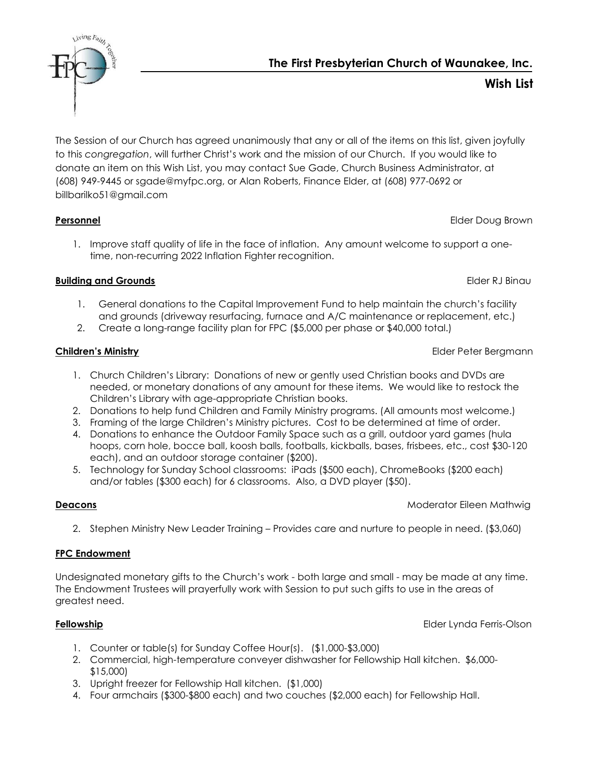The First Presbyterian Church of Waunakee, Inc.



The Session of our Church has agreed unanimously that any or all of the items on this list, given joyfully to this congregation, will further Christ's work and the mission of our Church. If you would like to donate an item on this Wish List, you may contact Sue Gade, Church Business Administrator, at (608) 949-9445 or sgade@myfpc.org, or Alan Roberts, Finance Elder, at (608) 977-0692 or billbarilko51@gmail.com

1. Improve staff quality of life in the face of inflation. Any amount welcome to support a onetime, non-recurring 2022 Inflation Fighter recognition.

Personnel **Personnel Elder Doug Brown** 

# Building and Grounds **Elder Runder Containers** Elder RJ Binau

- 1. General donations to the Capital Improvement Fund to help maintain the church's facility and grounds (driveway resurfacing, furnace and A/C maintenance or replacement, etc.)
- 2. Create a long-range facility plan for FPC (\$5,000 per phase or \$40,000 total.)

## Children's Ministry Elder Peter Bergmann

- 1. Church Children's Library: Donations of new or gently used Christian books and DVDs are needed, or monetary donations of any amount for these items. We would like to restock the Children's Library with age-appropriate Christian books.
- 2. Donations to help fund Children and Family Ministry programs. (All amounts most welcome.)
- 3. Framing of the large Children's Ministry pictures. Cost to be determined at time of order.
- 4. Donations to enhance the Outdoor Family Space such as a grill, outdoor yard games (hula hoops, corn hole, bocce ball, koosh balls, footballs, kickballs, bases, frisbees, etc., cost \$30-120 each), and an outdoor storage container (\$200).
- 5. Technology for Sunday School classrooms: iPads (\$500 each), ChromeBooks (\$200 each) and/or tables (\$300 each) for 6 classrooms. Also, a DVD player (\$50).

## **Deacons Moderator Eileen Mathwig**

2. Stephen Ministry New Leader Training – Provides care and nurture to people in need. (\$3,060)

## FPC Endowment

Undesignated monetary gifts to the Church's work - both large and small - may be made at any time. The Endowment Trustees will prayerfully work with Session to put such gifts to use in the areas of greatest need.

**Fellowship** Elder Lynda Ferris-Olson

- 1. Counter or table(s) for Sunday Coffee Hour(s). (\$1,000-\$3,000)
- 2. Commercial, high-temperature conveyer dishwasher for Fellowship Hall kitchen. \$6,000- \$15,000)
- 3. Upright freezer for Fellowship Hall kitchen. (\$1,000)
- 4. Four armchairs (\$300-\$800 each) and two couches (\$2,000 each) for Fellowship Hall.

Wish List